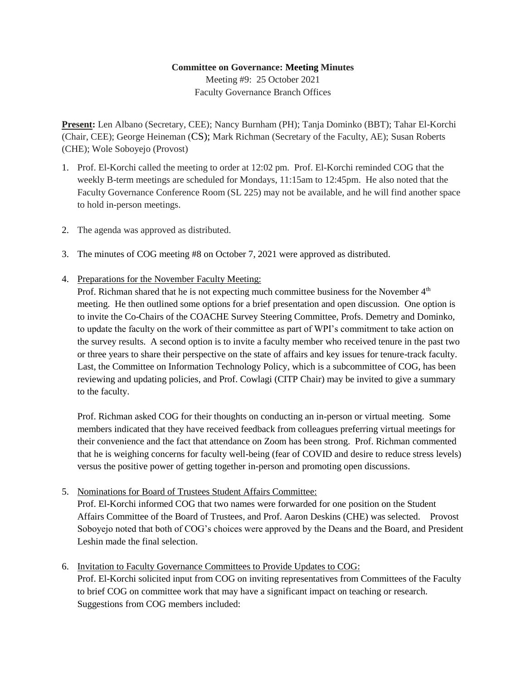## **Committee on Governance: Meeting Minutes**

Meeting #9: 25 October 2021 Faculty Governance Branch Offices

**Present:** Len Albano (Secretary, CEE); Nancy Burnham (PH); Tanja Dominko (BBT); Tahar El-Korchi (Chair, CEE); George Heineman (CS); Mark Richman (Secretary of the Faculty, AE); Susan Roberts (CHE); Wole Soboyejo (Provost)

- 1. Prof. El-Korchi called the meeting to order at 12:02 pm. Prof. El-Korchi reminded COG that the weekly B-term meetings are scheduled for Mondays, 11:15am to 12:45pm. He also noted that the Faculty Governance Conference Room (SL 225) may not be available, and he will find another space to hold in-person meetings.
- 2. The agenda was approved as distributed.
- 3. The minutes of COG meeting #8 on October 7, 2021 were approved as distributed.
- 4. Preparations for the November Faculty Meeting:

Prof. Richman shared that he is not expecting much committee business for the November  $4<sup>th</sup>$ meeting. He then outlined some options for a brief presentation and open discussion. One option is to invite the Co-Chairs of the COACHE Survey Steering Committee, Profs. Demetry and Dominko, to update the faculty on the work of their committee as part of WPI's commitment to take action on the survey results. A second option is to invite a faculty member who received tenure in the past two or three years to share their perspective on the state of affairs and key issues for tenure-track faculty. Last, the Committee on Information Technology Policy, which is a subcommittee of COG, has been reviewing and updating policies, and Prof. Cowlagi (CITP Chair) may be invited to give a summary to the faculty.

Prof. Richman asked COG for their thoughts on conducting an in-person or virtual meeting. Some members indicated that they have received feedback from colleagues preferring virtual meetings for their convenience and the fact that attendance on Zoom has been strong. Prof. Richman commented that he is weighing concerns for faculty well-being (fear of COVID and desire to reduce stress levels) versus the positive power of getting together in-person and promoting open discussions.

5. Nominations for Board of Trustees Student Affairs Committee:

Prof. El-Korchi informed COG that two names were forwarded for one position on the Student Affairs Committee of the Board of Trustees, and Prof. Aaron Deskins (CHE) was selected. Provost Soboyejo noted that both of COG's choices were approved by the Deans and the Board, and President Leshin made the final selection.

6. Invitation to Faculty Governance Committees to Provide Updates to COG:

Prof. El-Korchi solicited input from COG on inviting representatives from Committees of the Faculty to brief COG on committee work that may have a significant impact on teaching or research. Suggestions from COG members included: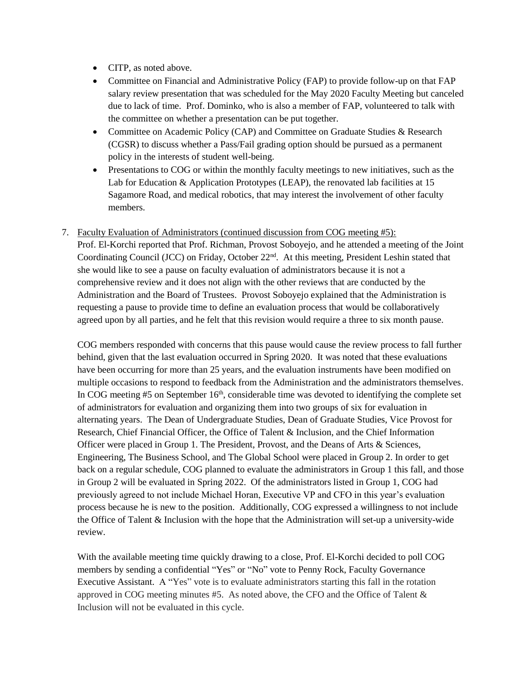- CITP, as noted above.
- Committee on Financial and Administrative Policy (FAP) to provide follow-up on that FAP salary review presentation that was scheduled for the May 2020 Faculty Meeting but canceled due to lack of time. Prof. Dominko, who is also a member of FAP, volunteered to talk with the committee on whether a presentation can be put together.
- Committee on Academic Policy (CAP) and Committee on Graduate Studies & Research (CGSR) to discuss whether a Pass/Fail grading option should be pursued as a permanent policy in the interests of student well-being.
- Presentations to COG or within the monthly faculty meetings to new initiatives, such as the Lab for Education & Application Prototypes (LEAP), the renovated lab facilities at 15 Sagamore Road, and medical robotics, that may interest the involvement of other faculty members.
- 7. Faculty Evaluation of Administrators (continued discussion from COG meeting #5): Prof. El-Korchi reported that Prof. Richman, Provost Soboyejo, and he attended a meeting of the Joint Coordinating Council (JCC) on Friday, October 22nd. At this meeting, President Leshin stated that she would like to see a pause on faculty evaluation of administrators because it is not a comprehensive review and it does not align with the other reviews that are conducted by the Administration and the Board of Trustees. Provost Soboyejo explained that the Administration is requesting a pause to provide time to define an evaluation process that would be collaboratively agreed upon by all parties, and he felt that this revision would require a three to six month pause.

COG members responded with concerns that this pause would cause the review process to fall further behind, given that the last evaluation occurred in Spring 2020. It was noted that these evaluations have been occurring for more than 25 years, and the evaluation instruments have been modified on multiple occasions to respond to feedback from the Administration and the administrators themselves. In COG meeting  $#5$  on September 16<sup>th</sup>, considerable time was devoted to identifying the complete set of administrators for evaluation and organizing them into two groups of six for evaluation in alternating years. The Dean of Undergraduate Studies, Dean of Graduate Studies, Vice Provost for Research, Chief Financial Officer, the Office of Talent & Inclusion, and the Chief Information Officer were placed in Group 1. The President, Provost, and the Deans of Arts & Sciences, Engineering, The Business School, and The Global School were placed in Group 2. In order to get back on a regular schedule, COG planned to evaluate the administrators in Group 1 this fall, and those in Group 2 will be evaluated in Spring 2022. Of the administrators listed in Group 1, COG had previously agreed to not include Michael Horan, Executive VP and CFO in this year's evaluation process because he is new to the position. Additionally, COG expressed a willingness to not include the Office of Talent & Inclusion with the hope that the Administration will set-up a university-wide review.

With the available meeting time quickly drawing to a close, Prof. El-Korchi decided to poll COG members by sending a confidential "Yes" or "No" vote to Penny Rock, Faculty Governance Executive Assistant. A "Yes" vote is to evaluate administrators starting this fall in the rotation approved in COG meeting minutes #5. As noted above, the CFO and the Office of Talent & Inclusion will not be evaluated in this cycle.